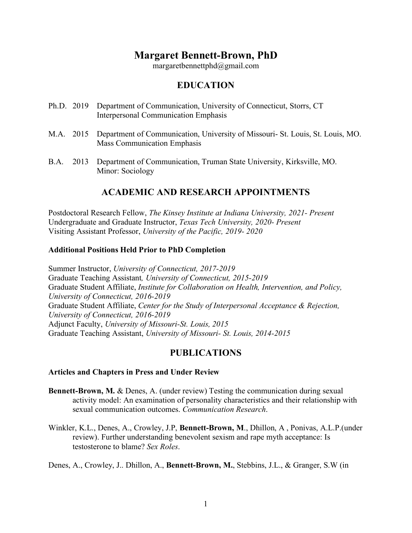# **Margaret Bennett-Brown, PhD**

margaretbennettphd@gmail.com

## **EDUCATION**

- Ph.D. 2019 Department of Communication, University of Connecticut, Storrs, CT Interpersonal Communication Emphasis
- M.A. 2015 Department of Communication, University of Missouri- St. Louis, St. Louis, MO. Mass Communication Emphasis
- B.A. 2013 Department of Communication, Truman State University, Kirksville, MO. Minor: Sociology

## **ACADEMIC AND RESEARCH APPOINTMENTS**

Postdoctoral Research Fellow, *The Kinsey Institute at Indiana University, 2021- Present* Undergraduate and Graduate Instructor, *Texas Tech University, 2020- Present* Visiting Assistant Professor, *University of the Pacific, 2019- 2020*

## **Additional Positions Held Prior to PhD Completion**

Summer Instructor, *University of Connecticut, 2017-2019* Graduate Teaching Assistant*, University of Connecticut, 2015-2019* Graduate Student Affiliate, *Institute for Collaboration on Health, Intervention, and Policy, University of Connecticut, 2016-2019* Graduate Student Affiliate, *Center for the Study of Interpersonal Acceptance & Rejection, University of Connecticut, 2016-2019* Adjunct Faculty, *University of Missouri-St. Louis, 2015* Graduate Teaching Assistant, *University of Missouri- St. Louis, 2014-2015*

## **PUBLICATIONS**

#### **Articles and Chapters in Press and Under Review**

- **Bennett-Brown, M. & Denes, A. (under review) Testing the communication during sexual** activity model: An examination of personality characteristics and their relationship with sexual communication outcomes. *Communication Research*.
- Winkler, K.L., Denes, A., Crowley, J.P, **Bennett-Brown, M**., Dhillon, A , Ponivas, A.L.P.(under review). Further understanding benevolent sexism and rape myth acceptance: Is testosterone to blame? *Sex Roles*.

Denes, A., Crowley, J.. Dhillon, A., **Bennett-Brown, M.**, Stebbins, J.L., & Granger, S.W (in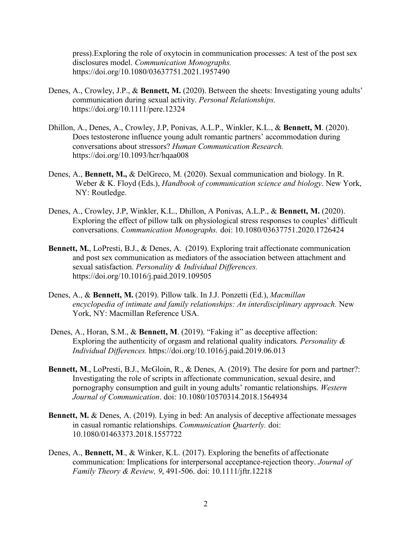press).Exploring the role of oxytocin in communication processes: A test of the post sex disclosures model. *Communication Monographs.*  https://doi.org/10.1080/03637751.2021.1957490

- Denes, A., Crowley, J.P., & **Bennett, M.** (2020). Between the sheets: Investigating young adults' communication during sexual activity. *Personal Relationships.* https://doi.org/10.1111/pere.12324
- Dhillon, A., Denes, A., Crowley, J.P, Ponivas, A.L.P., Winkler, K.L., & **Bennett, M**. (2020). Does testosterone influence young adult romantic partners' accommodation during conversations about stressors? *Human Communication Research.* https://doi.org/10.1093/hcr/hqaa008
- Denes, A., **Bennett, M.,** & DelGreco, M. (2020). Sexual communication and biology. In R. Weber & K. Floyd (Eds.), *Handbook of communication science and biology*. New York, NY: Routledge.
- Denes, A., Crowley, J.P, Winkler, K.L., Dhillon, A Ponivas, A.L.P., & **Bennett, M.** (2020). Exploring the effect of pillow talk on physiological stress responses to couples' difficult conversations. *Communication Monographs.* doi: 10.1080/03637751.2020.1726424
- **Bennett, M.**, LoPresti, B.J., & Denes, A. (2019). Exploring trait affectionate communication and post sex communication as mediators of the association between attachment and sexual satisfaction. *Personality & Individual Differences.* https://doi.org/10.1016/j.paid.2019.109505
- Denes, A., & **Bennett, M.** (2019). Pillow talk. In J.J. Ponzetti (Ed.), *Macmillan encyclopedia of intimate and family relationships: An interdisciplinary approach.* New York, NY: Macmillan Reference USA.
- Denes, A., Horan, S.M., & **Bennett, M**. (2019). "Faking it" as deceptive affection: Exploring the authenticity of orgasm and relational quality indicators. *Personality & Individual Differences.* https://doi.org/10.1016/j.paid.2019.06.013
- **Bennett, M., LoPresti, B.J., McGloin, R., & Denes, A. (2019). The desire for porn and partner?:** Investigating the role of scripts in affectionate communication, sexual desire, and pornography consumption and guilt in young adults' romantic relationships. *Western Journal of Communication*. doi: 10.1080/10570314.2018.1564934
- **Bennett, M.** & Denes, A. (2019). Lying in bed: An analysis of deceptive affectionate messages in casual romantic relationships. *Communication Quarterly.* doi: 10.1080/01463373.2018.1557722
- Denes, A., **Bennett, M**., & Winker, K.L. (2017). Exploring the benefits of affectionate communication: Implications for interpersonal acceptance-rejection theory. *Journal of Family Theory & Review, 9*, 491-506. doi: 10.1111/jftr.12218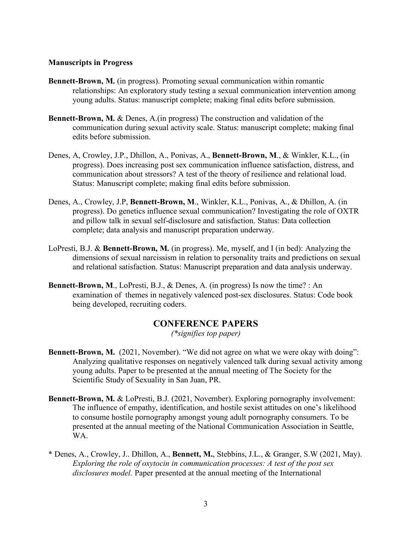#### **Manuscripts in Progress**

- **Bennett-Brown, M.** (in progress). Promoting sexual communication within romantic relationships: An exploratory study testing a sexual communication intervention among young adults. Status: manuscript complete; making final edits before submission.
- **Bennett-Brown, M. & Denes, A. (in progress) The construction and validation of the** communication during sexual activity scale. Status: manuscript complete; making final edits before submission.
- Denes, A, Crowley, J.P., Dhillon, A., Ponivas, A., **Bennett-Brown, M**., & Winkler, K.L., (in progress). Does increasing post sex communication influence satisfaction, distress, and communication about stressors? A test of the theory of resilience and relational load. Status: Manuscript complete; making final edits before submission.
- Denes, A., Crowley, J.P, **Bennett-Brown, M**., Winkler, K.L., Ponivas, A., & Dhillon, A. (in progress). Do genetics influence sexual communication? Investigating the role of OXTR and pillow talk in sexual self-disclosure and satisfaction. Status: Data collection complete; data analysis and manuscript preparation underway.
- LoPresti, B.J. & **Bennett-Brown, M.** (in progress). Me, myself, and I (in bed): Analyzing the dimensions of sexual narcissism in relation to personality traits and predictions on sexual and relational satisfaction. Status: Manuscript preparation and data analysis underway.
- **Bennett-Brown, M., LoPresti, B.J., & Denes, A. (in progress) Is now the time? : An** examination of themes in negatively valenced post-sex disclosures. Status: Code book being developed, recruiting coders.

# **CONFERENCE PAPERS**

*(\*signifies top paper)*

- **Bennett-Brown, M.** (2021, November). "We did not agree on what we were okay with doing": Analyzing qualitative responses on negatively valenced talk during sexual activity among young adults. Paper to be presented at the annual meeting of The Society for the Scientific Study of Sexuality in San Juan, PR.
- **Bennett-Brown, M.** & LoPresti, B.J. (2021, November). Exploring pornography involvement: The influence of empathy, identification, and hostile sexist attitudes on one's likelihood to consume hostile pornography amongst young adult pornography consumers. To be presented at the annual meeting of the National Communication Association in Seattle, WA.
- \* Denes, A., Crowley, J.. Dhillon, A., **Bennett, M.**, Stebbins, J.L., & Granger, S.W (2021, May). *Exploring the role of oxytocin in communication processes: A test of the post sex disclosures model.* Paper presented at the annual meeting of the International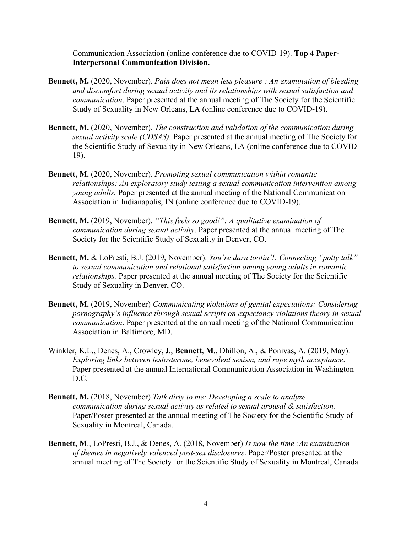Communication Association (online conference due to COVID-19). **Top 4 Paper-Interpersonal Communication Division.**

- **Bennett, M.** (2020, November). *Pain does not mean less pleasure : An examination of bleeding and discomfort during sexual activity and its relationships with sexual satisfaction and communication*. Paper presented at the annual meeting of The Society for the Scientific Study of Sexuality in New Orleans, LA (online conference due to COVID-19).
- **Bennett, M.** (2020, November). *The construction and validation of the communication during sexual activity scale (CDSAS).* Paper presented at the annual meeting of The Society for the Scientific Study of Sexuality in New Orleans, LA (online conference due to COVID-19).
- **Bennett, M.** (2020, November). *Promoting sexual communication within romantic relationships: An exploratory study testing a sexual communication intervention among young adults.* Paper presented at the annual meeting of the National Communication Association in Indianapolis, IN (online conference due to COVID-19).
- **Bennett, M.** (2019, November). *"This feels so good!": A qualitative examination of communication during sexual activity*. Paper presented at the annual meeting of The Society for the Scientific Study of Sexuality in Denver, CO.
- **Bennett, M.** & LoPresti, B.J. (2019, November). *You're darn tootin'!: Connecting "potty talk" to sexual communication and relational satisfaction among young adults in romantic relationships.* Paper presented at the annual meeting of The Society for the Scientific Study of Sexuality in Denver, CO.
- **Bennett, M.** (2019, November) *Communicating violations of genital expectations: Considering pornography's influence through sexual scripts on expectancy violations theory in sexual communication*. Paper presented at the annual meeting of the National Communication Association in Baltimore, MD.
- Winkler, K.L., Denes, A., Crowley, J., **Bennett, M**., Dhillon, A., & Ponivas, A. (2019, May). *Exploring links between testosterone, benevolent sexism, and rape myth acceptance*. Paper presented at the annual International Communication Association in Washington D.C.
- **Bennett, M.** (2018, November) *Talk dirty to me: Developing a scale to analyze communication during sexual activity as related to sexual arousal & satisfaction.* Paper/Poster presented at the annual meeting of The Society for the Scientific Study of Sexuality in Montreal, Canada.
- **Bennett, M**., LoPresti, B.J., & Denes, A. (2018, November) *Is now the time :An examination of themes in negatively valenced post-sex disclosures*. Paper/Poster presented at the annual meeting of The Society for the Scientific Study of Sexuality in Montreal, Canada.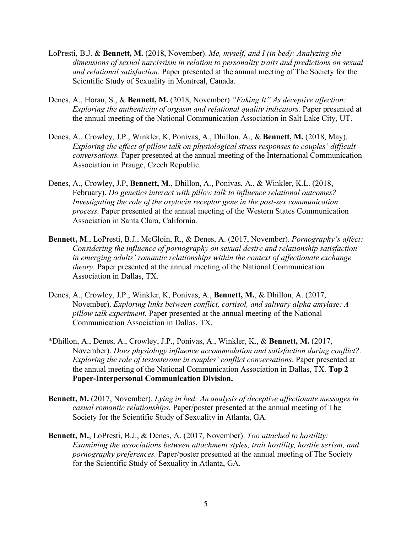- LoPresti, B.J. & **Bennett, M.** (2018, November). *Me, myself, and I (in bed): Analyzing the dimensions of sexual narcissism in relation to personality traits and predictions on sexual and relational satisfaction.* Paper presented at the annual meeting of The Society for the Scientific Study of Sexuality in Montreal, Canada.
- Denes, A., Horan, S., & **Bennett, M.** (2018, November) *"Faking It" As deceptive affection: Exploring the authenticity of orgasm and relational quality indicators.* Paper presented at the annual meeting of the National Communication Association in Salt Lake City, UT.
- Denes, A., Crowley, J.P., Winkler, K, Ponivas, A., Dhillon, A., & **Bennett, M.** (2018, May). *Exploring the effect of pillow talk on physiological stress responses to couples' difficult conversations.* Paper presented at the annual meeting of the International Communication Association in Prauge, Czech Republic.
- Denes, A., Crowley, J.P, **Bennett, M**., Dhillon, A., Ponivas, A., & Winkler, K.L. (2018, February). *Do genetics interact with pillow talk to influence relational outcomes? Investigating the role of the oxytocin receptor gene in the post-sex communication process*. Paper presented at the annual meeting of the Western States Communication Association in Santa Clara, California.
- **Bennett, M**., LoPresti, B.J., McGloin, R., & Denes, A. (2017, November). *Pornography's affect: Considering the influence of pornography on sexual desire and relationship satisfaction in emerging adults' romantic relationships within the context of affectionate exchange theory.* Paper presented at the annual meeting of the National Communication Association in Dallas, TX.
- Denes, A., Crowley, J.P., Winkler, K, Ponivas, A., **Bennett, M.**, & Dhillon, A. (2017, November). *Exploring links between conflict, cortisol, and salivary alpha amylase: A pillow talk experiment.* Paper presented at the annual meeting of the National Communication Association in Dallas, TX.
- \*Dhillon, A., Denes, A., Crowley, J.P., Ponivas, A., Winkler, K., & **Bennett, M.** (2017, November). *Does physiology influence accommodation and satisfaction during conflict?: Exploring the role of testosterone in couples' conflict conversations.* Paper presented at the annual meeting of the National Communication Association in Dallas, TX. **Top 2 Paper-Interpersonal Communication Division.**
- **Bennett, M.** (2017, November). *Lying in bed: An analysis of deceptive affectionate messages in casual romantic relationships.* Paper/poster presented at the annual meeting of The Society for the Scientific Study of Sexuality in Atlanta, GA.
- **Bennett, M.**, LoPresti, B.J., & Denes, A. (2017, November). *Too attached to hostility: Examining the associations between attachment styles, trait hostility, hostile sexism, and pornography preferences.* Paper/poster presented at the annual meeting of The Society for the Scientific Study of Sexuality in Atlanta, GA.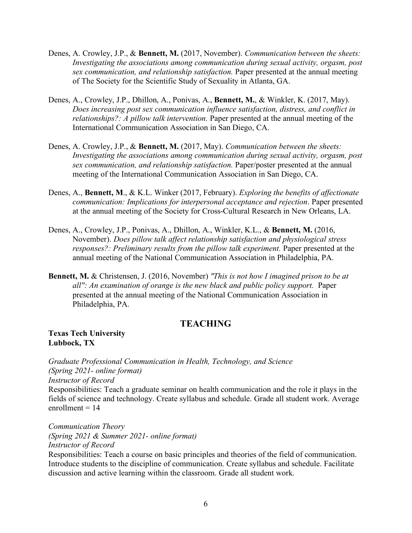- Denes, A. Crowley, J.P., & **Bennett, M.** (2017, November). *Communication between the sheets: Investigating the associations among communication during sexual activity, orgasm, post sex communication, and relationship satisfaction.* Paper presented at the annual meeting of The Society for the Scientific Study of Sexuality in Atlanta, GA.
- Denes, A., Crowley, J.P., Dhillon, A., Ponivas, A., **Bennett, M.**, & Winkler, K. (2017, May). *Does increasing post sex communication influence satisfaction, distress, and conflict in relationships?: A pillow talk intervention.* Paper presented at the annual meeting of the International Communication Association in San Diego, CA.
- Denes, A. Crowley, J.P., & **Bennett, M.** (2017, May). *Communication between the sheets: Investigating the associations among communication during sexual activity, orgasm, post sex communication, and relationship satisfaction.* Paper/poster presented at the annual meeting of the International Communication Association in San Diego, CA.
- Denes, A., **Bennett, M**., & K.L. Winker (2017, February). *Exploring the benefits of affectionate communication: Implications for interpersonal acceptance and rejection*. Paper presented at the annual meeting of the Society for Cross-Cultural Research in New Orleans, LA.
- Denes, A., Crowley, J.P., Ponivas, A., Dhillon, A., Winkler, K.L., & **Bennett, M.** (2016, November). *Does pillow talk affect relationship satisfaction and physiological stress responses?: Preliminary results from the pillow talk experiment.* Paper presented at the annual meeting of the National Communication Association in Philadelphia, PA.
- **Bennett, M.** & Christensen, J. (2016, November) *"This is not how I imagined prison to be at all": An examination of orange is the new black and public policy support.* Paper presented at the annual meeting of the National Communication Association in Philadelphia, PA.

# **TEACHING**

**Texas Tech University Lubbock, TX**

*Graduate Professional Communication in Health, Technology, and Science (Spring 2021- online format) Instructor of Record* Responsibilities: Teach a graduate seminar on health communication and the role it plays in the fields of science and technology. Create syllabus and schedule. Grade all student work. Average enrollment  $= 14$ 

*Communication Theory (Spring 2021 & Summer 2021- online format) Instructor of Record* Responsibilities: Teach a course on basic principles and theories of the field of communication. Introduce students to the discipline of communication. Create syllabus and schedule. Facilitate discussion and active learning within the classroom. Grade all student work.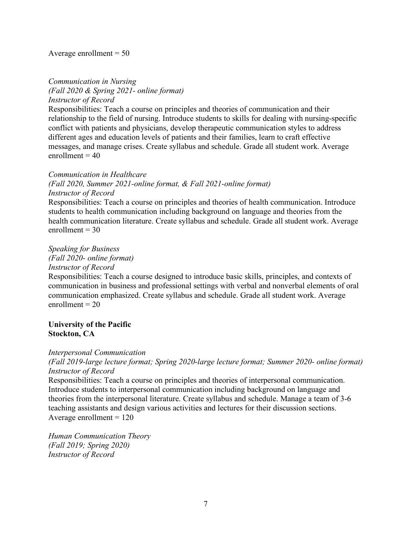#### Average enrollment  $= 50$

*Communication in Nursing (Fall 2020 & Spring 2021- online format) Instructor of Record*

Responsibilities: Teach a course on principles and theories of communication and their relationship to the field of nursing. Introduce students to skills for dealing with nursing-specific conflict with patients and physicians, develop therapeutic communication styles to address different ages and education levels of patients and their families, learn to craft effective messages, and manage crises. Create syllabus and schedule. Grade all student work. Average  $enrollment = 40$ 

#### *Communication in Healthcare*

*(Fall 2020, Summer 2021-online format, & Fall 2021-online format) Instructor of Record*

Responsibilities: Teach a course on principles and theories of health communication. Introduce students to health communication including background on language and theories from the health communication literature. Create syllabus and schedule. Grade all student work. Average enrollment  $= 30$ 

#### *Speaking for Business*

*(Fall 2020- online format)*

*Instructor of Record*

Responsibilities: Teach a course designed to introduce basic skills, principles, and contexts of communication in business and professional settings with verbal and nonverbal elements of oral communication emphasized. Create syllabus and schedule. Grade all student work. Average  $enrollment = 20$ 

#### **University of the Pacific Stockton, CA**

#### *Interpersonal Communication*

*(Fall 2019-large lecture format; Spring 2020-large lecture format; Summer 2020- online format) Instructor of Record*

Responsibilities: Teach a course on principles and theories of interpersonal communication. Introduce students to interpersonal communication including background on language and theories from the interpersonal literature. Create syllabus and schedule. Manage a team of 3-6 teaching assistants and design various activities and lectures for their discussion sections. Average enrollment  $= 120$ 

*Human Communication Theory (Fall 2019; Spring 2020) Instructor of Record*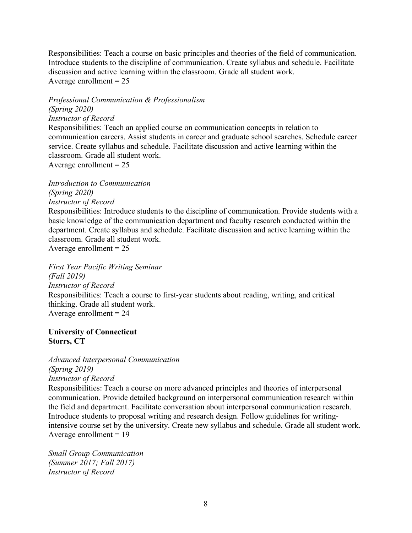Responsibilities: Teach a course on basic principles and theories of the field of communication. Introduce students to the discipline of communication. Create syllabus and schedule. Facilitate discussion and active learning within the classroom. Grade all student work. Average enrollment  $= 25$ 

*Professional Communication & Professionalism* 

*(Spring 2020) Instructor of Record* Responsibilities: Teach an applied course on communication concepts in relation to communication careers. Assist students in career and graduate school searches. Schedule career service. Create syllabus and schedule. Facilitate discussion and active learning within the classroom. Grade all student work. Average enrollment  $= 25$ 

*Introduction to Communication (Spring 2020) Instructor of Record* Responsibilities: Introduce students to the discipline of communication. Provide students with a basic knowledge of the communication department and faculty research conducted within the department. Create syllabus and schedule. Facilitate discussion and active learning within the classroom. Grade all student work. Average enrollment  $= 25$ 

*First Year Pacific Writing Seminar (Fall 2019) Instructor of Record* Responsibilities: Teach a course to first-year students about reading, writing, and critical thinking. Grade all student work. Average enrollment  $= 24$ 

#### **University of Connecticut Storrs, CT**

*Advanced Interpersonal Communication (Spring 2019) Instructor of Record* Responsibilities: Teach a course on more advanced principles and theories of interpersonal communication. Provide detailed background on interpersonal communication research within

the field and department. Facilitate conversation about interpersonal communication research. Introduce students to proposal writing and research design. Follow guidelines for writingintensive course set by the university. Create new syllabus and schedule. Grade all student work. Average enrollment  $= 19$ 

*Small Group Communication (Summer 2017; Fall 2017) Instructor of Record*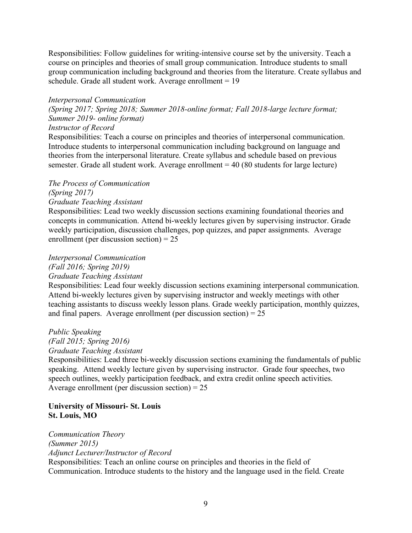Responsibilities: Follow guidelines for writing-intensive course set by the university. Teach a course on principles and theories of small group communication. Introduce students to small group communication including background and theories from the literature. Create syllabus and schedule. Grade all student work. Average enrollment = 19

#### *Interpersonal Communication*

*(Spring 2017; Spring 2018; Summer 2018-online format; Fall 2018-large lecture format; Summer 2019- online format)*

*Instructor of Record*

Responsibilities: Teach a course on principles and theories of interpersonal communication. Introduce students to interpersonal communication including background on language and theories from the interpersonal literature. Create syllabus and schedule based on previous semester. Grade all student work. Average enrollment  $= 40 (80$  students for large lecture)

## *The Process of Communication*

*(Spring 2017)*

*Graduate Teaching Assistant*

Responsibilities: Lead two weekly discussion sections examining foundational theories and concepts in communication. Attend bi-weekly lectures given by supervising instructor. Grade weekly participation, discussion challenges, pop quizzes, and paper assignments. Average enrollment (per discussion section) = 25

## *Interpersonal Communication*

*(Fall 2016; Spring 2019)*

#### *Graduate Teaching Assistant*

Responsibilities: Lead four weekly discussion sections examining interpersonal communication. Attend bi-weekly lectures given by supervising instructor and weekly meetings with other teaching assistants to discuss weekly lesson plans. Grade weekly participation, monthly quizzes, and final papers. Average enrollment (per discussion section) =  $25$ 

# *Public Speaking*

*(Fall 2015; Spring 2016) Graduate Teaching Assistant*

Responsibilities: Lead three bi-weekly discussion sections examining the fundamentals of public speaking. Attend weekly lecture given by supervising instructor. Grade four speeches, two speech outlines, weekly participation feedback, and extra credit online speech activities. Average enrollment (per discussion section)  $= 25$ 

#### **University of Missouri- St. Louis St. Louis, MO**

*Communication Theory (Summer 2015) Adjunct Lecturer/Instructor of Record* Responsibilities: Teach an online course on principles and theories in the field of Communication. Introduce students to the history and the language used in the field. Create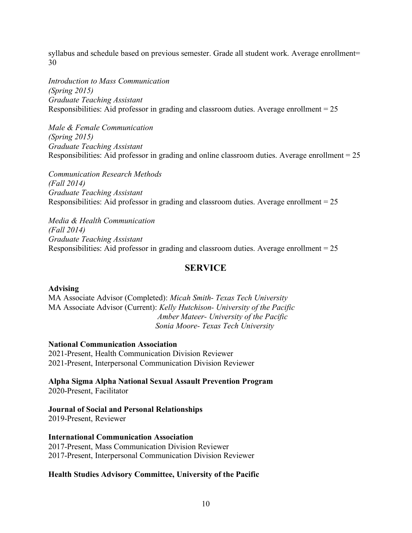syllabus and schedule based on previous semester. Grade all student work. Average enrollment= 30

*Introduction to Mass Communication (Spring 2015) Graduate Teaching Assistant* Responsibilities: Aid professor in grading and classroom duties. Average enrollment = 25

*Male & Female Communication (Spring 2015) Graduate Teaching Assistant* Responsibilities: Aid professor in grading and online classroom duties. Average enrollment = 25

*Communication Research Methods (Fall 2014) Graduate Teaching Assistant* Responsibilities: Aid professor in grading and classroom duties. Average enrollment = 25

*Media & Health Communication (Fall 2014) Graduate Teaching Assistant*  Responsibilities: Aid professor in grading and classroom duties. Average enrollment = 25

## **SERVICE**

## **Advising**

MA Associate Advisor (Completed): *Micah Smith- Texas Tech University* MA Associate Advisor (Current): *Kelly Hutchison- University of the Pacific Amber Mateer- University of the Pacific Sonia Moore- Texas Tech University*

#### **National Communication Association**

2021-Present, Health Communication Division Reviewer 2021-Present, Interpersonal Communication Division Reviewer

**Alpha Sigma Alpha National Sexual Assault Prevention Program**

2020-Present, Facilitator

#### **Journal of Social and Personal Relationships**

2019-Present, Reviewer

#### **International Communication Association**

2017-Present, Mass Communication Division Reviewer 2017-Present, Interpersonal Communication Division Reviewer

#### **Health Studies Advisory Committee, University of the Pacific**